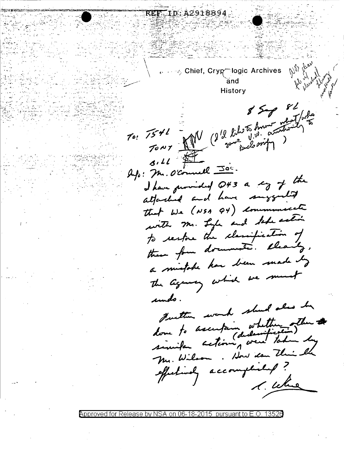$\mathbb{R}^n \rightarrow \mathbb{R}^n$  Chief, Cryp $\mathbb{R}^n$ logic Archives  $\mathbb{R}^n$ and History  $85 - 88$ and like to human  $70:7541$ TONY AM some pleasing  $3.11$ Ap: M. O'council 300. I have provided Q43 a cg of the attached and have suggested that We (NSA 94) communicate with mr. Lyle and take action to restore the classification of these form documents. Cleanly, a mistake har been made by The agency which we must undo. Justin work shed also by done to ascentain whether other to Mr. Wilson. How ican This the effectively accomplished? 1. Where

REF ID:A2918894

Approved for Release by NSA on 06-18-2015  $\,$  pursuant to E.O. 13526  $\,$